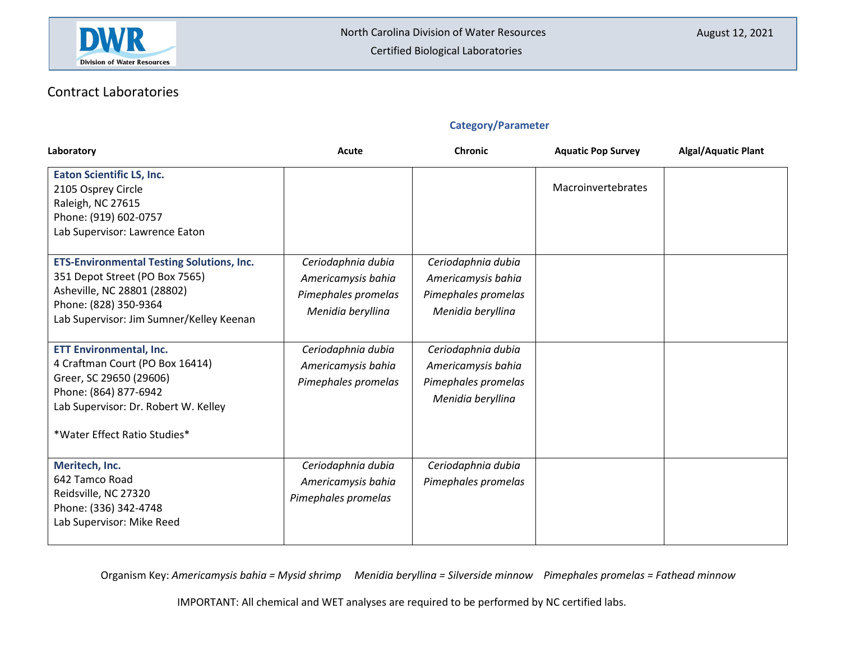

## Contract Laboratories

### **Category/Parameter**

| Laboratory                                                                                                                                                                                    | Acute                                                                                | Chronic                                                                              | <b>Aquatic Pop Survey</b> | <b>Algal/Aquatic Plant</b> |
|-----------------------------------------------------------------------------------------------------------------------------------------------------------------------------------------------|--------------------------------------------------------------------------------------|--------------------------------------------------------------------------------------|---------------------------|----------------------------|
| <b>Eaton Scientific LS, Inc.</b><br>2105 Osprey Circle<br>Raleigh, NC 27615<br>Phone: (919) 602-0757<br>Lab Supervisor: Lawrence Eaton                                                        |                                                                                      |                                                                                      | Macroinvertebrates        |                            |
| <b>ETS-Environmental Testing Solutions, Inc.</b><br>351 Depot Street (PO Box 7565)<br>Asheville, NC 28801 (28802)<br>Phone: (828) 350-9364<br>Lab Supervisor: Jim Sumner/Kelley Keenan        | Ceriodaphnia dubia<br>Americamysis bahia<br>Pimephales promelas<br>Menidia beryllina | Ceriodaphnia dubia<br>Americamysis bahia<br>Pimephales promelas<br>Menidia beryllina |                           |                            |
| <b>ETT Environmental, Inc.</b><br>4 Craftman Court (PO Box 16414)<br>Greer, SC 29650 (29606)<br>Phone: (864) 877-6942<br>Lab Supervisor: Dr. Robert W. Kelley<br>*Water Effect Ratio Studies* | Ceriodaphnia dubia<br>Americamysis bahia<br>Pimephales promelas                      | Ceriodaphnia dubia<br>Americamysis bahia<br>Pimephales promelas<br>Menidia beryllina |                           |                            |
| Meritech, Inc.<br>642 Tamco Road<br>Reidsville, NC 27320<br>Phone: (336) 342-4748<br>Lab Supervisor: Mike Reed                                                                                | Ceriodaphnia dubia<br>Americamysis bahia<br>Pimephales promelas                      | Ceriodaphnia dubia<br>Pimephales promelas                                            |                           |                            |

Organism Key: *Americamysis bahia = Mysid shrimp Menidia beryllina = Silverside minnow Pimephales promelas = Fathead minnow*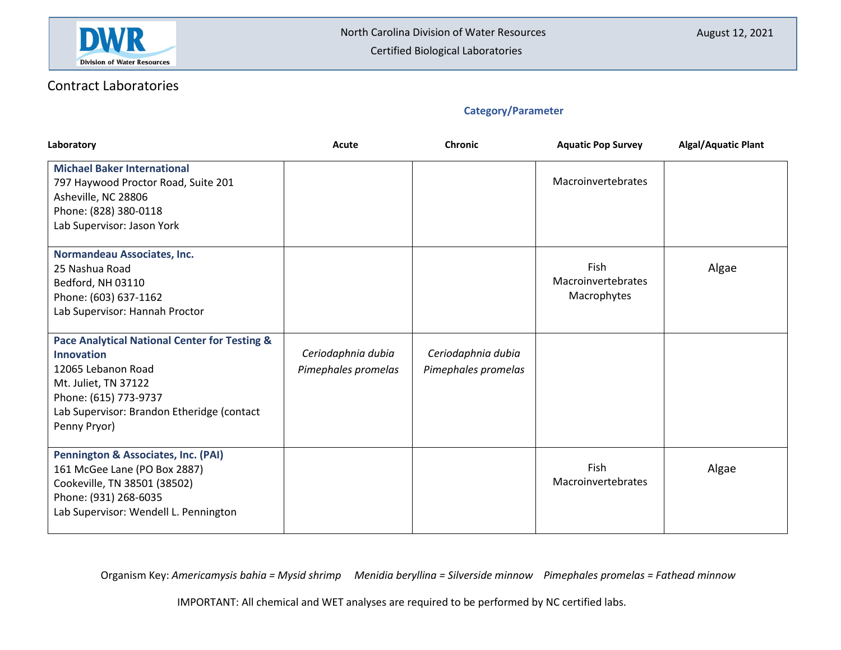

### Contract Laboratories

### **Category/Parameter**

| Laboratory                                                                                                                                                                                              | Acute                                     | <b>Chronic</b>                            | <b>Aquatic Pop Survey</b>                 | <b>Algal/Aquatic Plant</b> |
|---------------------------------------------------------------------------------------------------------------------------------------------------------------------------------------------------------|-------------------------------------------|-------------------------------------------|-------------------------------------------|----------------------------|
| <b>Michael Baker International</b><br>797 Haywood Proctor Road, Suite 201<br>Asheville, NC 28806<br>Phone: (828) 380-0118<br>Lab Supervisor: Jason York                                                 |                                           |                                           | Macroinvertebrates                        |                            |
| Normandeau Associates, Inc.<br>25 Nashua Road<br>Bedford, NH 03110<br>Phone: (603) 637-1162<br>Lab Supervisor: Hannah Proctor                                                                           |                                           |                                           | Fish<br>Macroinvertebrates<br>Macrophytes | Algae                      |
| Pace Analytical National Center for Testing &<br><b>Innovation</b><br>12065 Lebanon Road<br>Mt. Juliet, TN 37122<br>Phone: (615) 773-9737<br>Lab Supervisor: Brandon Etheridge (contact<br>Penny Pryor) | Ceriodaphnia dubia<br>Pimephales promelas | Ceriodaphnia dubia<br>Pimephales promelas |                                           |                            |
| <b>Pennington &amp; Associates, Inc. (PAI)</b><br>161 McGee Lane (PO Box 2887)<br>Cookeville, TN 38501 (38502)<br>Phone: (931) 268-6035<br>Lab Supervisor: Wendell L. Pennington                        |                                           |                                           | Fish<br>Macroinvertebrates                | Algae                      |

Organism Key: *Americamysis bahia = Mysid shrimp Menidia beryllina = Silverside minnow Pimephales promelas = Fathead minnow*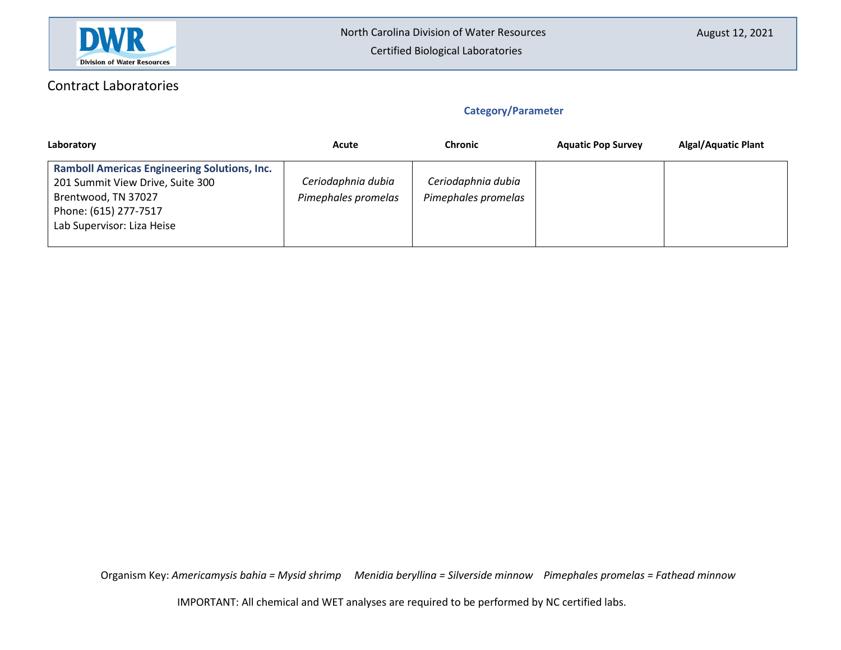

# Contract Laboratories

### **Category/Parameter**

| Laboratory                                                                                                                                                            | Acute                                     | <b>Chronic</b>                            | <b>Aquatic Pop Survey</b> | <b>Algal/Aquatic Plant</b> |
|-----------------------------------------------------------------------------------------------------------------------------------------------------------------------|-------------------------------------------|-------------------------------------------|---------------------------|----------------------------|
| <b>Ramboll Americas Engineering Solutions, Inc.</b><br>201 Summit View Drive, Suite 300<br>Brentwood, TN 37027<br>Phone: (615) 277-7517<br>Lab Supervisor: Liza Heise | Ceriodaphnia dubia<br>Pimephales promelas | Ceriodaphnia dubia<br>Pimephales promelas |                           |                            |

Organism Key: *Americamysis bahia = Mysid shrimp Menidia beryllina = Silverside minnow Pimephales promelas = Fathead minnow*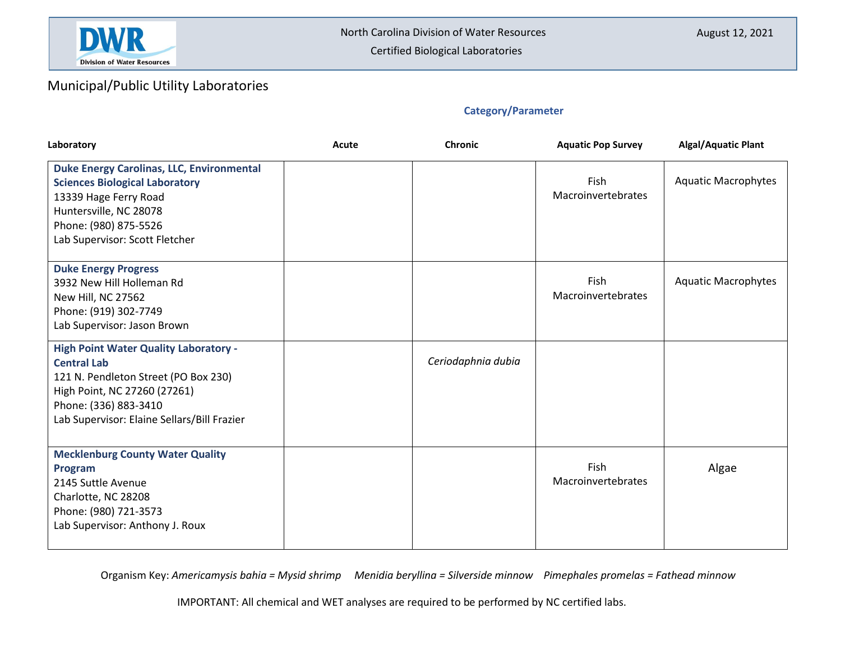

## Municipal/Public Utility Laboratories

### **Category/Parameter**

| Laboratory                                                                                                                                                                                                         | Acute | <b>Chronic</b>     | <b>Aquatic Pop Survey</b>  | <b>Algal/Aquatic Plant</b> |
|--------------------------------------------------------------------------------------------------------------------------------------------------------------------------------------------------------------------|-------|--------------------|----------------------------|----------------------------|
| <b>Duke Energy Carolinas, LLC, Environmental</b><br><b>Sciences Biological Laboratory</b><br>13339 Hage Ferry Road<br>Huntersville, NC 28078<br>Phone: (980) 875-5526<br>Lab Supervisor: Scott Fletcher            |       |                    | Fish<br>Macroinvertebrates | <b>Aquatic Macrophytes</b> |
| <b>Duke Energy Progress</b><br>3932 New Hill Holleman Rd<br>New Hill, NC 27562<br>Phone: (919) 302-7749<br>Lab Supervisor: Jason Brown                                                                             |       |                    | Fish<br>Macroinvertebrates | <b>Aquatic Macrophytes</b> |
| <b>High Point Water Quality Laboratory -</b><br><b>Central Lab</b><br>121 N. Pendleton Street (PO Box 230)<br>High Point, NC 27260 (27261)<br>Phone: (336) 883-3410<br>Lab Supervisor: Elaine Sellars/Bill Frazier |       | Ceriodaphnia dubia |                            |                            |
| <b>Mecklenburg County Water Quality</b><br>Program<br>2145 Suttle Avenue<br>Charlotte, NC 28208<br>Phone: (980) 721-3573<br>Lab Supervisor: Anthony J. Roux                                                        |       |                    | Fish<br>Macroinvertebrates | Algae                      |

Organism Key: *Americamysis bahia = Mysid shrimp Menidia beryllina = Silverside minnow Pimephales promelas = Fathead minnow*